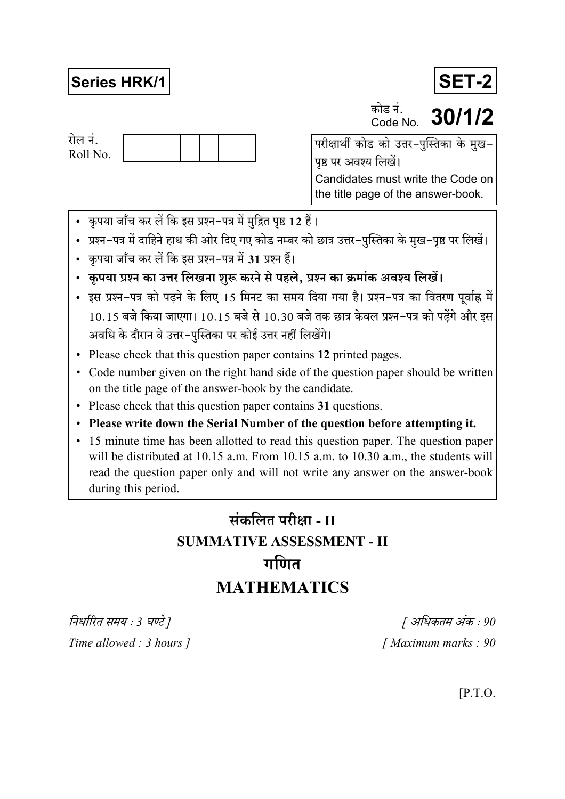## **Series HRK/1**

रोल नं. Roll No. पृष्ठ पर अवश्य लिखें। Candidates must write the Code on the title page of the answer-book.

- कृपया जाँच कर लें कि इस प्रश्न-पत्र में मुद्रित पृष्ठ 12 हैं।
- प्रश्न–पत्र में दाहिने हाथ की ओर दिए गए कोड नम्बर को छात्र उत्तर–पुस्तिका के मुख–पृष्ठ पर लिखें।
- कृपया जाँच कर लें कि इस प्रश्न-पत्र में 31 प्रश्न हैं।
- कृपया प्रश्न का उत्तर लिखना शुरू करने से पहले, प्रश्न का क्रमांक अवश्य लिखें।
- इस प्रश्न-पत्र को पढने के लिए 15 मिनट का समय दिया गया है। प्रश्न-पत्र का वितरण पर्वाह्न में 10.15 बजे किया जाएगा। 10.15 बजे से 10.30 बजे तक छात्र केवल प्रश्न-पत्र को पढेंगे और इस अवधि के दौरान वे उत्तर-पुस्तिका पर कोई उत्तर नहीं लिखेंगे।
- Please check that this question paper contains 12 printed pages.
- Code number given on the right hand side of the question paper should be written on the title page of the answer-book by the candidate.
- Please check that this question paper contains 31 questions.
- Please write down the Serial Number of the question before attempting it.
- 15 minute time has been allotted to read this question paper. The question paper will be distributed at 10.15 a.m. From 10.15 a.m. to 10.30 a.m., the students will read the question paper only and will not write any answer on the answer-book during this period.

# संकलित परीक्षा - II **SUMMATIVE ASSESSMENT - II** गणित **MATHEMATICS**

निर्धारित समय : 3 घण्टे ] Time allowed : 3 hours ]

[ अधिकतम अंक : 90 [Maximum marks: 90]

 $[$ P.T.O.

# **SET-2**



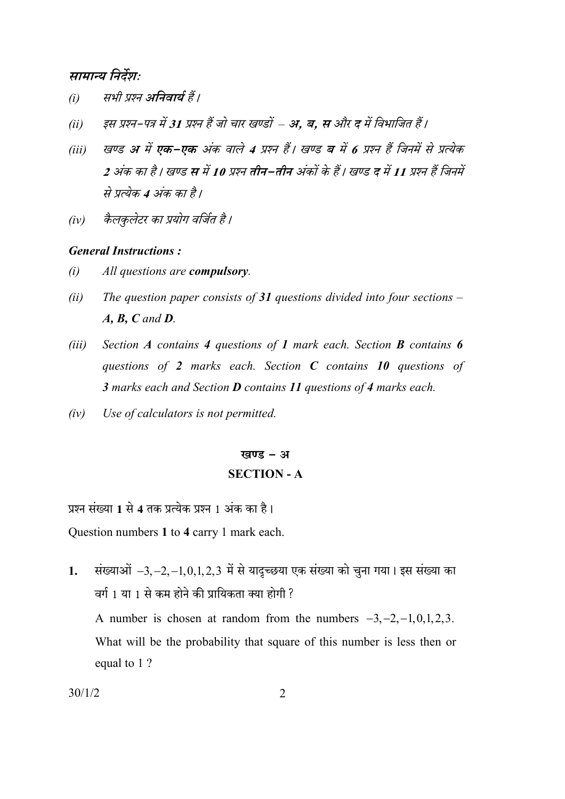#### सामान्य निर्देशः

- सभी प्रश्न अनिवार्य हैं।  $(i)$
- इस प्रश्न–पत्र में 31 प्रश्न हैं जो चार खण्डों अ. ब. स और द में विभाजित हैं।  $(ii)$
- खण्ड अ में एक-एक अंक वाले 4 प्रश्न हैं। खण्ड ब में 6 प्रश्न हैं जिनमें से प्रत्येक  $(iii)$ 2 अंक का है। खण्ड स में 10 प्रश्न तीन–तीन अंकों के हैं। खण्ड द में 11 प्रश्न हैं जिनमें से प्रत्येक 4 अंक का है।
- कैलकलेटर का प्रयोग वर्जित है।  $(iv)$

#### **General Instructions:**

- $(i)$ All questions are compulsory.
- $(ii)$ The question paper consists of 31 questions divided into four sections  $A, B, C$  and  $D$ .
- Section  $\vec{A}$  contains 4 questions of 1 mark each. Section  $\vec{B}$  contains 6  $(iii)$ questions of 2 marks each. Section  $C$  contains 10 questions of 3 marks each and Section **D** contains 11 questions of 4 marks each.
- $(iv)$ Use of calculators is not permitted.

## खण्ड - अ **SECTION - A**

प्रश्न संख्या 1 से 4 तक प्रत्येक प्रश्न 1 अंक का है। Question numbers 1 to 4 carry 1 mark each.

संख्याओं  $-3, -2, -1, 0, 1, 2, 3$  में से यादृच्छया एक संख्या को चुना गया। इस संख्या का  $\mathbf{1}$ . वर्ग 1 या 1 से कम होने की प्रायिकता क्या होगी ?

A number is chosen at random from the numbers  $-3, -2, -1, 0, 1, 2, 3$ . What will be the probability that square of this number is less then or equal to 1?

$$
30/1/2
$$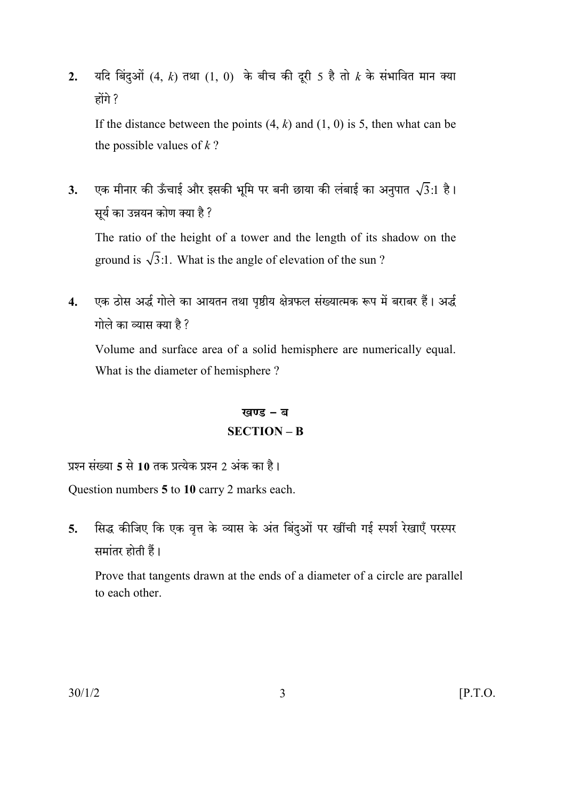यदि बिंदुओं (4, k) तथा (1, 0) के बीच की दूरी 5 है तो  $k$  के संभावित मान क्या  $2.$ होंगे ?

If the distance between the points  $(4, k)$  and  $(1, 0)$  is 5, then what can be the possible values of  $k$ ?

एक मीनार की ऊँचाई और इसकी भूमि पर बनी छाया की लंबाई का अनुपात  $\sqrt{3}$ :1 है।  $3.$ सुर्य का उन्नयन कोण क्या है ?

The ratio of the height of a tower and the length of its shadow on the ground is  $\sqrt{3}$ :1. What is the angle of elevation of the sun?

एक ठोस अर्द्ध गोले का आयतन तथा पृष्ठीय क्षेत्रफल संख्यात्मक रूप में बराबर हैं। अर्द्ध  $\overline{\mathbf{4}}$ गोले का व्यास क्या है ?

Volume and surface area of a solid hemisphere are numerically equal. What is the diameter of hemisphere?

## खण्ड - ब  $SECTION - B$

प्रश्न संख्या 5 से 10 तक प्रत्येक प्रश्न 2 अंक का है।

Question numbers 5 to 10 carry 2 marks each.

सिद्ध कीजिए कि एक वृत्त के व्यास के अंत बिंदुओं पर खींची गई स्पर्श रेखाएँ परस्पर  $5.$ समांतर होती हैं।

Prove that tangents drawn at the ends of a diameter of a circle are parallel to each other.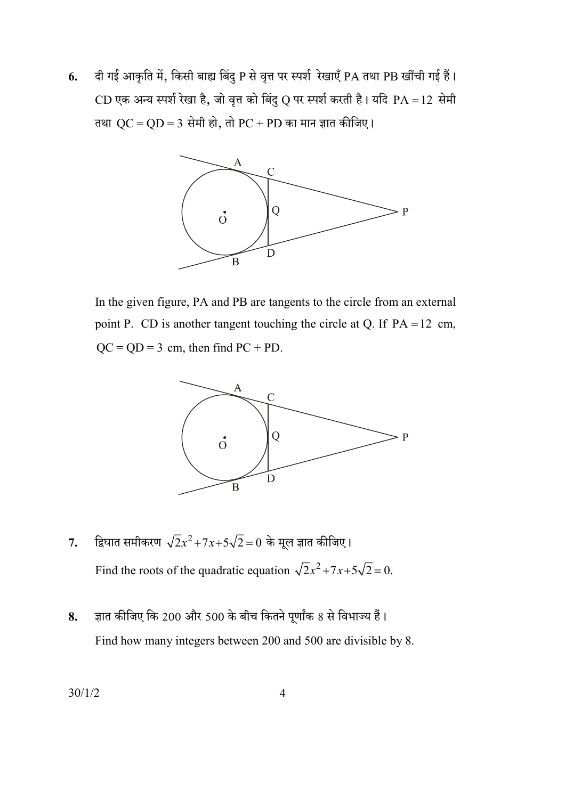दी गई आकृति में, किसी बाह्य बिंदु P से वृत्त पर स्पर्श रेखाएँ PA तथा PB खींची गई हैं। 6. CD एक अन्य स्पर्श रेखा है, जो वृत्त को बिंदु Q पर स्पर्श करती है। यदि PA = 12 सेमी तथा  $QC = QD = 3$  सेमी हो, तो  $PC + PD$  का मान ज्ञात कीजिए।



In the given figure, PA and PB are tangents to the circle from an external point P. CD is another tangent touching the circle at Q. If  $PA = 12$  cm,  $QC = QD = 3$  cm, then find  $PC + PD$ .



- द्विघात समीकरण  $\sqrt{2}x^2+7x+5\sqrt{2}=0$  के मूल ज्ञात कीजिए।  $7.$ Find the roots of the quadratic equation  $\sqrt{2x^2 + 7x + 5\sqrt{2}} = 0$ .
- ज्ञात कीजिए कि 200 और 500 के बीच कितने पूर्णांक 8 से विभाज्य हैं। 8. Find how many integers between 200 and 500 are divisible by 8.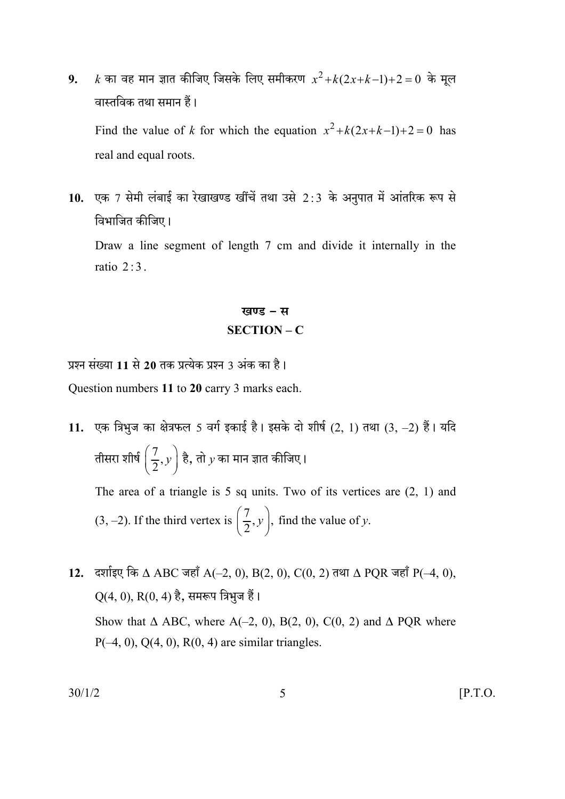$k$  का वह मान ज्ञात कीजिए जिसके लिए समीकरण  $x^2+k(2x+k-1)+2=0$  के मूल  $9<sub>1</sub>$ वास्तविक तथा समान हैं। Find the value of k for which the equation  $x^2 + k(2x+k-1)+2 = 0$  has

real and equal roots.

10. एक 7 सेमी लंबाई का रेखाखण्ड खींचें तथा उसे 2:3 के अनुपात में आंतरिक रूप से विभाजित कीजिए।

Draw a line segment of length 7 cm and divide it internally in the ratio  $2:3$ .

### खण्ड - स  $SECTION - C$

प्रश्न संख्या 11 से 20 तक प्रत्येक प्रश्न 3 अंक का है।

Question numbers 11 to 20 carry 3 marks each.

- 11. एक त्रिभुज का क्षेत्रफल 5 वर्ग इकाई है। इसके दो शीर्ष  $(2, 1)$  तथा  $(3, -2)$  हैं। यदि तीसरा शीर्ष  $\left(\dfrac{7}{2},y\right)$  है, तो  $y$  का मान ज्ञात कीजिए। The area of a triangle is 5 sq units. Two of its vertices are  $(2, 1)$  and (3, -2). If the third vertex is  $\left(\frac{7}{2}, y\right)$ , find the value of y.
- 12. दर्शाइए कि  $\Delta$  ABC जहाँ A(-2, 0), B(2, 0), C(0, 2) तथा  $\Delta$  PQR जहाँ P(-4, 0),  $Q(4, 0), R(0, 4)$  है, समरूप त्रिभुज हैं। Show that  $\triangle$  ABC, where A(-2, 0), B(2, 0), C(0, 2) and  $\triangle$  PQR where  $P(-4, 0), Q(4, 0), R(0, 4)$  are similar triangles.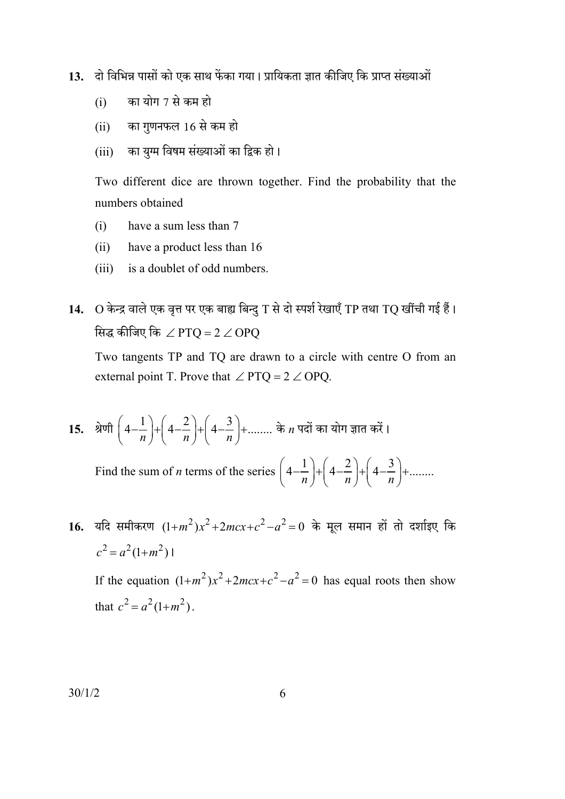- दो विभिन्न पासों को एक साथ फेंका गया। प्रायिकता ज्ञात कीजिए कि प्राप्त संख्याओं  $13.$ 
	- का योग 7 से कम हो  $(i)$
	- का गुणनफल 16 से कम हो  $(ii)$
	- का युग्म विषम संख्याओं का द्विक हो।  $(iii)$

Two different dice are thrown together. Find the probability that the numbers obtained

- $(i)$ have a sum less than 7
- $(ii)$ have a product less than 16
- is a doublet of odd numbers.  $(iii)$
- 14. O केन्द्र वाले एक वृत्त पर एक बाह्य बिन्दु T से दो स्पर्श रेखाएँ TP तथा TQ खींची गई हैं। सिद्ध कीजिए कि  $\angle$  PTQ = 2  $\angle$  OPQ

Two tangents TP and TQ are drawn to a circle with centre O from an external point T. Prove that  $\angle$  PTQ = 2  $\angle$  OPQ.

15. श्रेणी  $\left(4-\frac{1}{n}\right)+\left(4-\frac{2}{n}\right)+\left(4-\frac{3}{n}\right)+\dots$  के *n* पदों का योग ज्ञात करें । Find the sum of *n* terms of the series  $\left(4-\frac{1}{n}\right)+\left(4-\frac{2}{n}\right)+\left(4-\frac{3}{n}\right)+\dots$ 

16. यदि समीकरण  $(1+m^2)x^2+2mcx+c^2-a^2=0$  के मूल समान हों तो दर्शाइए कि  $c^2 = a^2(1+m^2)$ 

If the equation  $(1+m^2)x^2+2mcx+c^2-a^2=0$  has equal roots then show that  $c^2 = a^2(1+m^2)$ .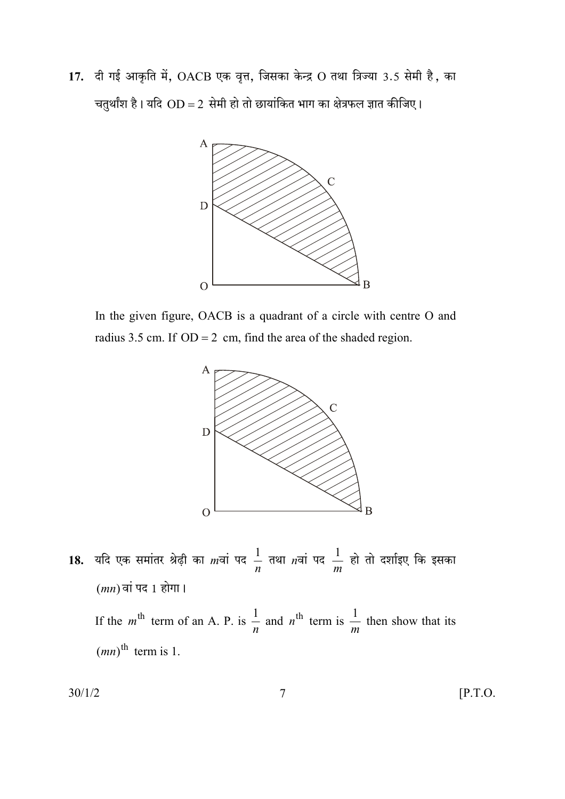17. दी गई आकृति में, OACB एक वृत्त, जिसका केन्द्र O तथा त्रिज्या 3.5 सेमी है, का चतुर्थांश है। यदि  $OD = 2$  सेमी हो तो छायांकित भाग का क्षेत्रफल ज्ञात कीजिए।



In the given figure, OACB is a quadrant of a circle with centre O and radius 3.5 cm. If  $OD = 2$  cm, find the area of the shaded region.



18. यदि एक समांतर श्रेढ़ी का mवां पद  $\frac{1}{n}$  तथा nवां पद  $\frac{1}{m}$  हो तो दर्शाइए कि इसका  $(mn)$ वां पद 1 होगा। If the m<sup>th</sup> term of an A. P. is  $\frac{1}{n}$  and n<sup>th</sup> term is  $\frac{1}{m}$  then show that its  $(mn)$ <sup>th</sup> term is 1.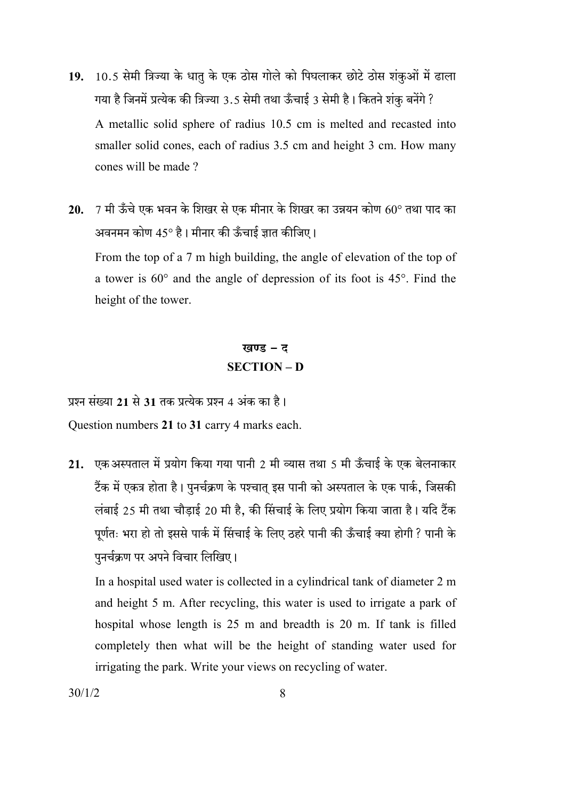- 19. 10.5 सेमी त्रिज्या के धातु के एक ठोस गोले को पिघलाकर छोटे ठोस शंकुओं में ढाला गया है जिनमें प्रत्येक की त्रिज्या 3.5 सेमी तथा ऊँचाई 3 सेमी है। कितने शंकु बनेंगे ? A metallic solid sphere of radius 10.5 cm is melted and recasted into smaller solid cones, each of radius 3.5 cm and height 3 cm. How many cones will be made?
- 20.  $-7$  मी ऊँचे एक भवन के शिखर से एक मीनार के शिखर का उन्नयन कोण  $60^{\circ}$  तथा पाद का अवनमन कोण 45° है। मीनार की ऊँचाई ज्ञात कीजिए। From the top of a 7 m high building, the angle of elevation of the top of a tower is  $60^{\circ}$  and the angle of depression of its foot is  $45^{\circ}$ . Find the height of the tower.

## खण्ड - ट **SECTION-D**

प्रश्न संख्या 21 से 31 तक प्रत्येक प्रश्न 4 अंक का है। Question numbers 21 to 31 carry 4 marks each.

21. एक अस्पताल में प्रयोग किया गया पानी 2 मी व्यास तथा 5 मी ऊँचाई के एक बेलनाकार टैंक में एकत्र होता है। पुनर्चक्रण के पश्चात् इस पानी को अस्पताल के एक पार्क, जिसकी लंबाई 25 मी तथा चौडाई 20 मी है, की सिंचाई के लिए प्रयोग किया जाता है। यदि टैंक पूर्णतः भरा हो तो इससे पार्क में सिंचाई के लिए ठहरे पानी की ऊँचाई क्या होगी ? पानी के पुनर्चक्रण पर अपने विचार लिखिए।

In a hospital used water is collected in a cylindrical tank of diameter 2 m and height 5 m. After recycling, this water is used to irrigate a park of hospital whose length is 25 m and breadth is 20 m. If tank is filled completely then what will be the height of standing water used for irrigating the park. Write your views on recycling of water.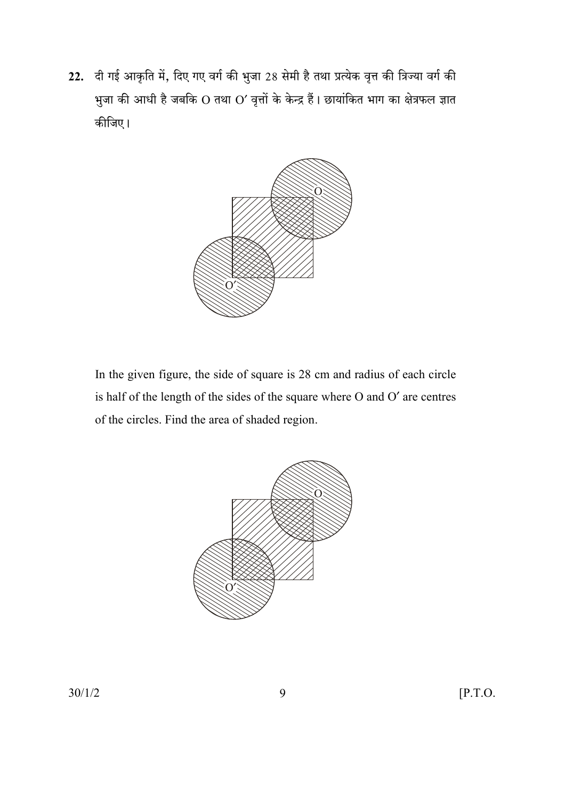22. दी गई आकृति में, दिए गए वर्ग की भुजा 28 सेमी है तथा प्रत्येक वृत्त की त्रिज्या वर्ग की भुजा की आधी है जबकि O तथा O' वृत्तों के केन्द्र हैं। छायांकित भाग का क्षेत्रफल ज्ञात कीजिए।



In the given figure, the side of square is 28 cm and radius of each circle is half of the length of the sides of the square where O and O' are centres of the circles. Find the area of shaded region.

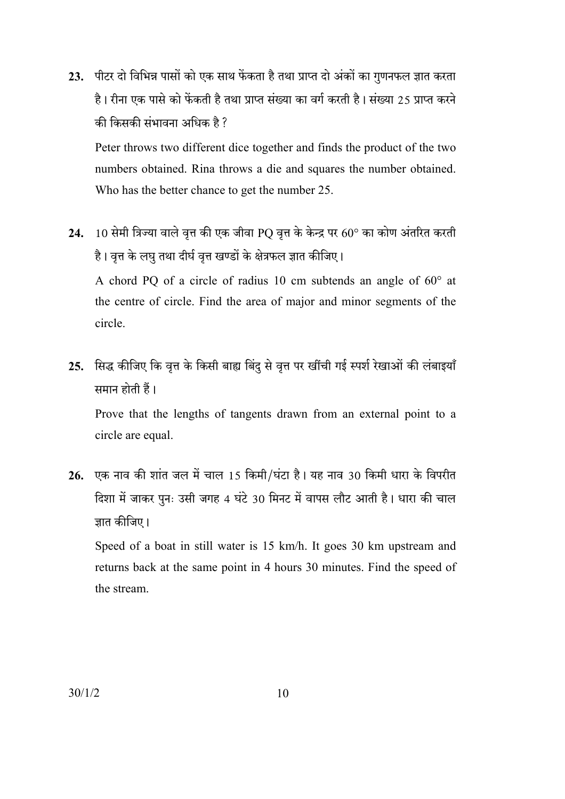23. पीटर दो विभिन्न पासों को एक साथ फेंकता है तथा प्राप्त दो अंकों का गुणनफल ज्ञात करता है। रीना एक पासे को फेंकती है तथा प्राप्त संख्या का वर्ग करती है। संख्या 25 प्राप्त करने की किसकी संभावना अधिक है ?

Peter throws two different dice together and finds the product of the two numbers obtained. Rina throws a die and squares the number obtained. Who has the better chance to get the number 25.

- 24. 10 सेमी त्रिज्या वाले वृत्त की एक जीवा PQ वृत्त के केन्द्र पर 60° का कोण अंतरित करती है। वृत्त के लघु तथा दीर्घ वृत्त खण्डों के क्षेत्रफल ज्ञात कीजिए। A chord PQ of a circle of radius 10 cm subtends an angle of  $60^{\circ}$  at the centre of circle. Find the area of major and minor segments of the circle.
- 25. सिद्ध कीजिए कि वृत्त के किसी बाह्य बिंदु से वृत्त पर खींची गई स्पर्श रेखाओं की लंबाइयाँ समान होती हैं।

Prove that the lengths of tangents drawn from an external point to a circle are equal.

26. एक नाव की शांत जल में चाल 15 किमी/घंटा है। यह नाव 30 किमी धारा के विपरीत दिशा में जाकर पुनः उसी जगह 4 घंटे 30 मिनट में वापस लौट आती है। धारा की चाल ज्ञात कीजिए।

Speed of a boat in still water is 15 km/h. It goes 30 km upstream and returns back at the same point in 4 hours 30 minutes. Find the speed of the stream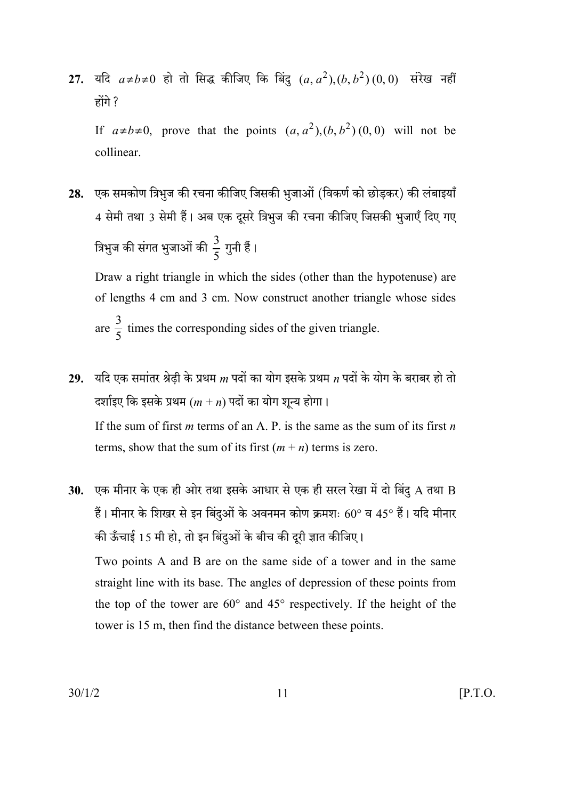27. यदि  $a \neq b \neq 0$  हो तो सिद्ध कीजिए कि बिंदु  $(a, a^2), (b, b^2)$   $(0, 0)$  संरेख नहीं होंगे ?

If  $a \ne b \ne 0$ , prove that the points  $(a, a^2), (b, b^2)$  (0, 0) will not be collinear.

28. एक समकोण त्रिभज की रचना कीजिए जिसकी भजाओं (विकर्ण को छोडकर) की लंबाइयाँ 4 सेमी तथा 3 सेमी हैं। अब एक दूसरे त्रिभुज की रचना कीजिए जिसकी भुजाएँ दिए गए त्रिभुज की संगत भुजाओं की  $\frac{3}{5}$  गुनी हैं।

Draw a right triangle in which the sides (other than the hypotenuse) are of lengths 4 cm and 3 cm. Now construct another triangle whose sides are  $\frac{3}{5}$  times the corresponding sides of the given triangle.

- 29. यदि एक समांतर श्रेढी के प्रथम  $m$  पदों का योग इसके प्रथम  $n$  पदों के योग के बराबर हो तो दर्शाइए कि इसके प्रथम  $(m + n)$  पदों का योग शून्य होगा। If the sum of first *m* terms of an A, P, is the same as the sum of its first *n* terms, show that the sum of its first  $(m + n)$  terms is zero.
- 30. एक मीनार के एक ही ओर तथा इसके आधार से एक ही सरल रेखा में दो बिंदु  ${\bf A}$  तथा  ${\bf B}$ हैं। मीनार के शिखर से इन बिंदुओं के अवनमन कोण क्रमशः  $60^{\circ}$  व 45° हैं। यदि मीनार की ऊँचाई 15 मी हो, तो इन बिंदुओं के बीच की दूरी ज्ञात कीजिए।

Two points A and B are on the same side of a tower and in the same straight line with its base. The angles of depression of these points from the top of the tower are  $60^{\circ}$  and  $45^{\circ}$  respectively. If the height of the tower is 15 m, then find the distance between these points.